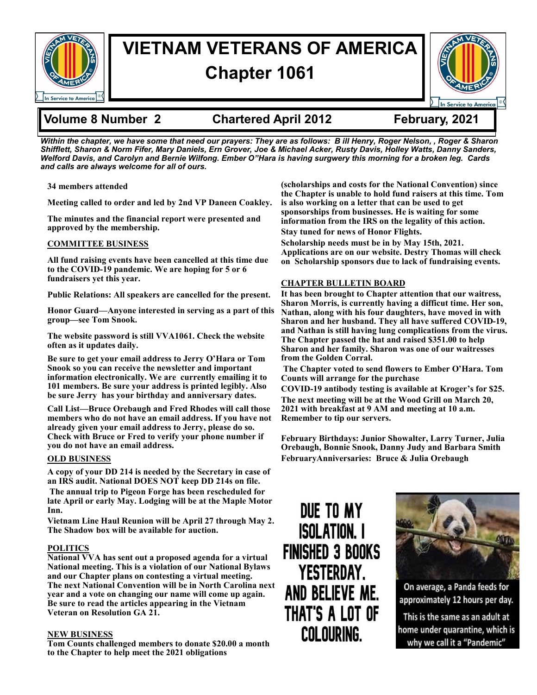

# **VIETNAM VETERANS OF AMERICA Chapter 1061**



## **Volume 8 Number 2 Chartered April 2012 February, 2021**

*Within the chapter, we have some that need our prayers: They are as follows: B ill Henry, Roger Nelson, , Roger & Sharon Shifflett, Sharon & Norm Fifer, Mary Daniels, Ern Grover, Joe & Michael Acker, Rusty Davis, Holley Watts, Danny Sanders, Welford Davis, and Carolyn and Bernie Wilfong. Ember O"Hara is having surgwery this morning for a broken leg. Cards and calls are always welcome for all of ours.* 

**34 members attended**

**Meeting called to order and led by 2nd VP Daneen Coakley.** 

**The minutes and the financial report were presented and approved by the membership.** 

### **COMMITTEE BUSINESS**

**All fund raising events have been cancelled at this time due to the COVID-19 pandemic. We are hoping for 5 or 6 fundraisers yet this year.** 

**Public Relations: All speakers are cancelled for the present.** 

**Honor Guard—Anyone interested in serving as a part of this group—see Tom Snook.** 

**The website password is still VVA1061. Check the website often as it updates daily.** 

**Be sure to get your email address to Jerry O'Hara or Tom Snook so you can receive the newsletter and important information electronically. We are currently emailing it to 101 members. Be sure your address is printed legibly. Also be sure Jerry has your birthday and anniversary dates.** 

**Call List—Bruce Orebaugh and Fred Rhodes will call those members who do not have an email address. If you have not already given your email address to Jerry, please do so. Check with Bruce or Fred to verify your phone number if you do not have an email address.**

### **OLD BUSINESS**

**A copy of your DD 214 is needed by the Secretary in case of an IRS audit. National DOES NOT keep DD 214s on file.** 

**The annual trip to Pigeon Forge has been rescheduled for late April or early May. Lodging will be at the Maple Motor Inn.** 

**Vietnam Line Haul Reunion will be April 27 through May 2. The Shadow box will be available for auction.** 

### **POLITICS**

**National VVA has sent out a proposed agenda for a virtual National meeting. This is a violation of our National Bylaws and our Chapter plans on contesting a virtual meeting. The next National Convention will be in North Carolina next year and a vote on changing our name will come up again. Be sure to read the articles appearing in the Vietnam Veteran on Resolution GA 21.** 

### **NEW BUSINESS**

**Tom Counts challenged members to donate \$20.00 a month to the Chapter to help meet the 2021 obligations** 

**(scholarships and costs for the National Convention) since the Chapter is unable to hold fund raisers at this time. Tom is also working on a letter that can be used to get sponsorships from businesses. He is waiting for some information from the IRS on the legality of this action. Stay tuned for news of Honor Flights.** 

**Scholarship needs must be in by May 15th, 2021. Applications are on our website. Destry Thomas will check on Scholarship sponsors due to lack of fundraising events.** 

### **CHAPTER BULLETIN BOARD**

**It has been brought to Chapter attention that our waitress, Sharon Morris, is currently having a difficut time. Her son, Nathan, along with his four daughters, have moved in with Sharon and her husband. They all have suffered COVID-19, and Nathan is still having lung complications from the virus. The Chapter passed the hat and raised \$351.00 to help Sharon and her family. Sharon was one of our waitresses from the Golden Corral.** 

**The Chapter voted to send flowers to Ember O'Hara. Tom Counts will arrange for the purchase**

**COVID-19 antibody testing is available at Kroger's for \$25. The next meeting will be at the Wood Grill on March 20, 2021 with breakfast at 9 AM and meeting at 10 a.m. Remember to tip our servers.** 

**February Birthdays: Junior Showalter, Larry Turner, Julia Orebaugh, Bonnie Snook, Danny Judy and Barbara Smith FebruaryAnniversaries: Bruce & Julia Orebaugh**

DUE TO MY **ISOLATION.** I **FINISHED 3 BOOKS YESTERDAY.** AND BELIEVE ME. THAT'S A LOT OF **COLOURING.** 



On average, a Panda feeds for approximately 12 hours per day.

This is the same as an adult at home under quarantine, which is why we call it a "Pandemic"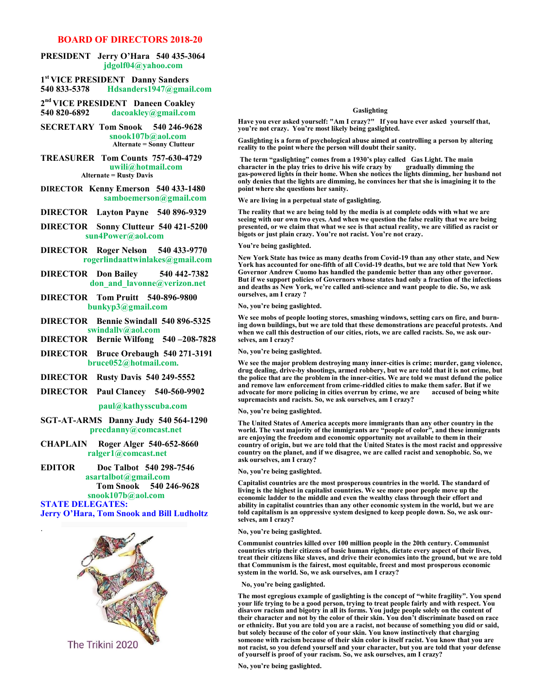### **BOARD OF DIRECTORS 2018-20**

#### **PRESIDENT Jerry O'Hara 540 435-3064 jdgolf04@yahoo.com**

**1 st VICE PRESIDENT Danny Sanders 540 833-5378 Hdsanders1947@gmail.com**

- **2 nd VICE PRESIDENT Daneen Coakley 540 820-6892 dacoakley@gmail.com**
- **SECRETARY Tom Snook 540 246-9628 snook107b@aol.com Alternate = Sonny Clutteur**

#### **TREASURER Tom Counts 757-630-4729 uwili@hotmail.com Alternate = Rusty Davis**

#### **DIRECTOR Kenny Emerson 540 433-1480 samboemerson@gmail.com**

**DIRECTOR Layton Payne 540 896-9329** 

- **DIRECTOR Sonny Clutteur 540 421-5200 sun4Power@aol.com**
- **DIRECTOR Roger Nelson 540 433-9770 rogerlindaattwinlakes@gmail.com**
- **DIRECTOR Don Bailey 540 442-7382 don\_and\_lavonne@verizon.net**
- **DIRECTOR Tom Pruitt 540-896-9800 bunkyp3@gmail.com**
- **DIRECTOR Bennie Swindall 540 896-5325 swindallv@aol.com**
- **DIRECTOR Bernie Wilfong 540 –208-7828**
- **DIRECTOR Bruce Orebaugh 540 271-3191 bruce052@hotmail.com.**
- **DIRECTOR Rusty Davis 540 249-5552**
- **DIRECTOR Paul Clancey 540-560-9902**

#### **paul@kathysscuba.com**

- **SGT-AT-ARMS Danny Judy 540 564-1290 precdanny@comcast.net**
- **CHAPLAIN Roger Alger 540-652-8660 ralger1@comcast.net**
- **EDITOR Doc Talbot 540 298-7546 asartalbot@gmail.com Tom Snook 540 246-9628 snook107b@aol.com STATE DELEGATES:**

**Jerry O'Hara, Tom Snook and Bill Ludholtz**

.



#### **Gaslighting**

**Have you ever asked yourself: "Am I crazy?" If you have ever asked yourself that, you're not crazy. You're most likely being gaslighted.**

**Gaslighting is a form of psychological abuse aimed at controlling a person by altering reality to the point where the person will doubt their sanity.** 

**The term "gaslighting" comes from a 1930's play called Gas Light. The main character in the play tries to drive his wife crazy by gradually dimming the gas-powered lights in their home. When she notices the lights dimming, her husband not only denies that the lights are dimming, he convinces her that she is imagining it to the point where she questions her sanity.**

**We are living in a perpetual state of gaslighting.**

**The reality that we are being told by the media is at complete odds with what we are seeing with our own two eyes. And when we question the false reality that we are being presented, or we claim that what we see is that actual reality, we are vilified as racist or bigots or just plain crazy. You're not racist. You're not crazy.**

#### **You're being gaslighted.**

**New York State has twice as many deaths from Covid-19 than any other state, and New York has accounted for one-fifth of all Covid-19 deaths, but we are told that New York Governor Andrew Cuomo has handled the pandemic better than any other governor. But if we support policies of Governors whose states had only a fraction of the infections and deaths as New York, we're called anti-science and want people to die. So, we ask ourselves, am I crazy ?**

**No, you're being gaslighted.**

**We see mobs of people looting stores, smashing windows, setting cars on fire, and burning down buildings, but we are told that these demonstrations are peaceful protests. And when we call this destruction of our cities, riots, we are called racists. So, we ask ourselves, am I crazy?**

**No, you're being gaslighted.** 

**We see the major problem destroying many inner-cities is crime; murder, gang violence, drug dealing, drive-by shootings, armed robbery, but we are told that it is not crime, but the police that are the problem in the inner-cities. We are told we must defund the police and remove law enforcement from crime-riddled cities to make them safer. But if we**  advocate for more policing in cities overrun by crime, we are **supremacists and racists. So, we ask ourselves, am I crazy?**

#### **No, you're being gaslighted.**

**The United States of America accepts more immigrants than any other country in the world. The vast majority of the immigrants are "people of color", and these immigrants are enjoying the freedom and economic opportunity not available to them in their country of origin, but we are told that the United States is the most racist and oppressive country on the planet, and if we disagree, we are called racist and xenophobic. So, we ask ourselves, am I crazy?**

#### **No, you're being gaslighted.**

**Capitalist countries are the most prosperous countries in the world. The standard of living is the highest in capitalist countries. We see more poor people move up the economic ladder to the middle and even the wealthy class through their effort and ability in capitalist countries than any other economic system in the world, but we are told capitalism is an oppressive system designed to keep people down. So, we ask ourselves, am I crazy?**

#### **No, you're being gaslighted.**

**Communist countries killed over 100 million people in the 20th century. Communist countries strip their citizens of basic human rights, dictate every aspect of their lives, treat their citizens like slaves, and drive their economies into the ground, but we are told that Communism is the fairest, most equitable, freest and most prosperous economic system in the world. So, we ask ourselves, am I crazy?** 

**No, you're being gaslighted.**

**The most egregious example of gaslighting is the concept of "white fragility". You spend your life trying to be a good person, trying to treat people fairly and with respect. You disavow racism and bigotry in all its forms. You judge people solely on the content of their character and not by the color of their skin. You don't discriminate based on race or ethnicity. But you are told you are a racist, not because of something you did or said, but solely because of the color of your skin. You know instinctively that charging someone with racism because of their skin color is itself racist. You know that you are not racist, so you defend yourself and your character, but you are told that your defense of yourself is proof of your racism. So, we ask ourselves, am I crazy?**

**No, you're being gaslighted.**